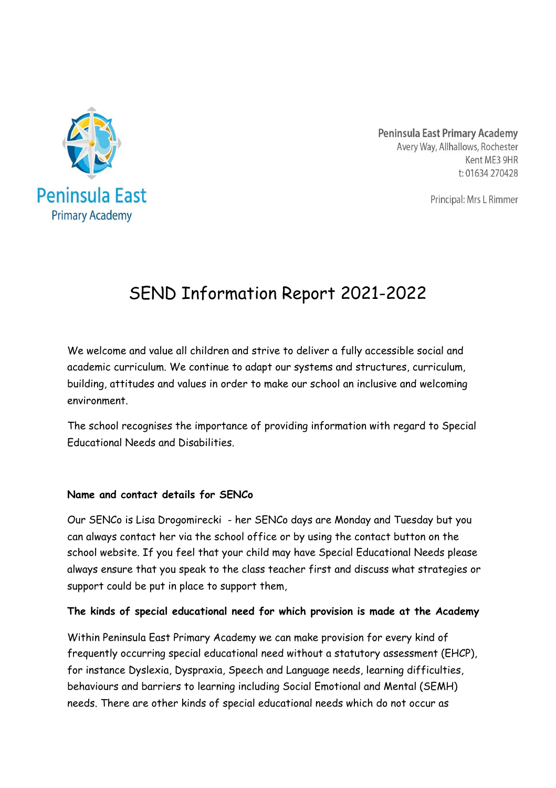

Peninsula East Primary Academy Avery Way, Allhallows, Rochester Kent ME3 9HR t: 01634 270428

Principal: Mrs L Rimmer

# SEND Information Report 2021-2022

We welcome and value all children and strive to deliver a fully accessible social and academic curriculum. We continue to adapt our systems and structures, curriculum, building, attitudes and values in order to make our school an inclusive and welcoming environment.

The school recognises the importance of providing information with regard to Special Educational Needs and Disabilities.

#### **Name and contact details for SENCo**

Our SENCo is Lisa Drogomirecki - her SENCo days are Monday and Tuesday but you can always contact her via the school office or by using the contact button on the school website. If you feel that your child may have Special Educational Needs please always ensure that you speak to the class teacher first and discuss what strategies or support could be put in place to support them,

#### **The kinds of special educational need for which provision is made at the Academy**

Within Peninsula East Primary Academy we can make provision for every kind of frequently occurring special educational need without a statutory assessment (EHCP), for instance Dyslexia, Dyspraxia, Speech and Language needs, learning difficulties, behaviours and barriers to learning including Social Emotional and Mental (SEMH) needs. There are other kinds of special educational needs which do not occur as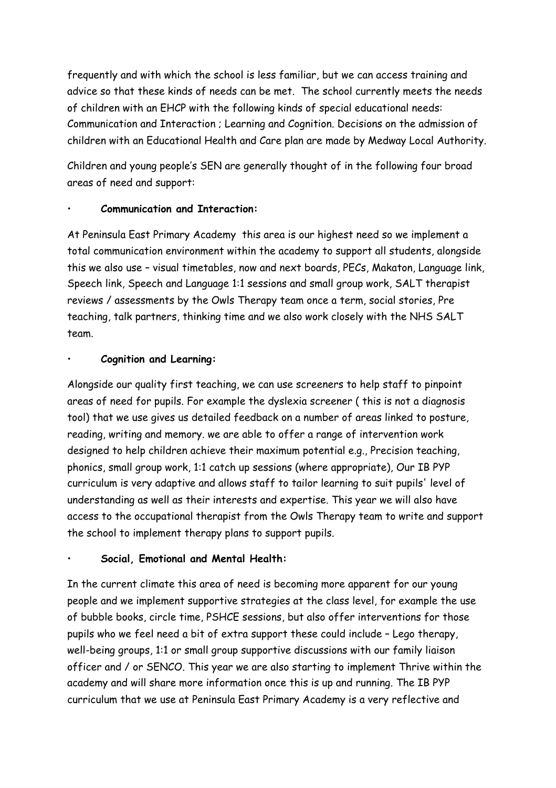frequently and with which the school is less familiar, but we can access training and advice so that these kinds of needs can be met. The school currently meets the needs of children with an EHCP with the following kinds of special educational needs: Communication and Interaction ; Learning and Cognition. Decisions on the admission of children with an Educational Health and Care plan are made by Medway Local Authority.

Children and young people's SEN are generally thought of in the following four broad areas of need and support:

## • **Communication and Interaction:**

At Peninsula East Primary Academy this area is our highest need so we implement a total communication environment within the academy to support all students, alongside this we also use – visual timetables, now and next boards, PECs, Makaton, Language link, Speech link, Speech and Language 1:1 sessions and small group work, SALT therapist reviews / assessments by the Owls Therapy team once a term, social stories, Pre teaching, talk partners, thinking time and we also work closely with the NHS SALT team.

## • **Cognition and Learning:**

Alongside our quality first teaching, we can use screeners to help staff to pinpoint areas of need for pupils. For example the dyslexia screener ( this is not a diagnosis tool) that we use gives us detailed feedback on a number of areas linked to posture, reading, writing and memory. we are able to offer a range of intervention work designed to help children achieve their maximum potential e.g., Precision teaching, phonics, small group work, 1:1 catch up sessions (where appropriate), Our IB PYP curriculum is very adaptive and allows staff to tailor learning to suit pupils' level of understanding as well as their interests and expertise. This year we will also have access to the occupational therapist from the Owls Therapy team to write and support the school to implement therapy plans to support pupils.

## • **Social, Emotional and Mental Health:**

In the current climate this area of need is becoming more apparent for our young people and we implement supportive strategies at the class level, for example the use of bubble books, circle time, PSHCE sessions, but also offer interventions for those pupils who we feel need a bit of extra support these could include – Lego therapy, well-being groups, 1:1 or small group supportive discussions with our family liaison officer and / or SENCO. This year we are also starting to implement Thrive within the academy and will share more information once this is up and running. The IB PYP curriculum that we use at Peninsula East Primary Academy is a very reflective and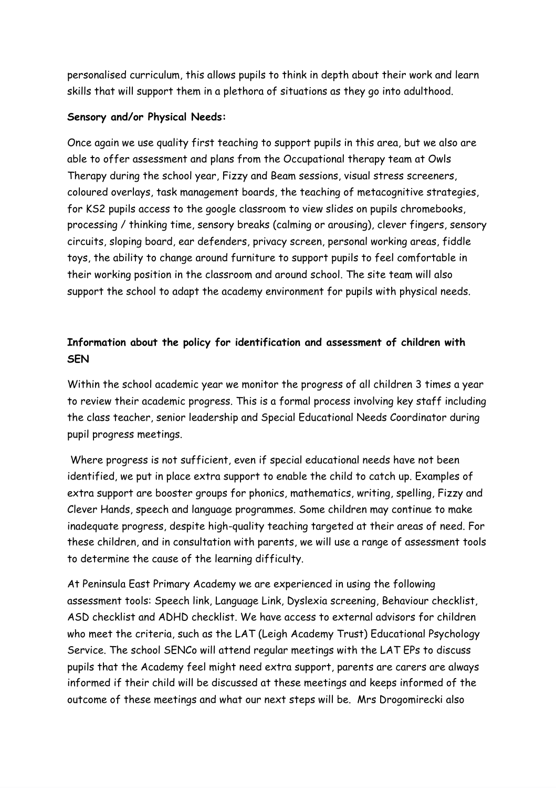personalised curriculum, this allows pupils to think in depth about their work and learn skills that will support them in a plethora of situations as they go into adulthood.

#### **Sensory and/or Physical Needs:**

Once again we use quality first teaching to support pupils in this area, but we also are able to offer assessment and plans from the Occupational therapy team at Owls Therapy during the school year, Fizzy and Beam sessions, visual stress screeners, coloured overlays, task management boards, the teaching of metacognitive strategies, for KS2 pupils access to the google classroom to view slides on pupils chromebooks, processing / thinking time, sensory breaks (calming or arousing), clever fingers, sensory circuits, sloping board, ear defenders, privacy screen, personal working areas, fiddle toys, the ability to change around furniture to support pupils to feel comfortable in their working position in the classroom and around school. The site team will also support the school to adapt the academy environment for pupils with physical needs.

## **Information about the policy for identification and assessment of children with SEN**

Within the school academic year we monitor the progress of all children 3 times a year to review their academic progress. This is a formal process involving key staff including the class teacher, senior leadership and Special Educational Needs Coordinator during pupil progress meetings.

Where progress is not sufficient, even if special educational needs have not been identified, we put in place extra support to enable the child to catch up. Examples of extra support are booster groups for phonics, mathematics, writing, spelling, Fizzy and Clever Hands, speech and language programmes. Some children may continue to make inadequate progress, despite high-quality teaching targeted at their areas of need. For these children, and in consultation with parents, we will use a range of assessment tools to determine the cause of the learning difficulty.

At Peninsula East Primary Academy we are experienced in using the following assessment tools: Speech link, Language Link, Dyslexia screening, Behaviour checklist, ASD checklist and ADHD checklist. We have access to external advisors for children who meet the criteria, such as the LAT (Leigh Academy Trust) Educational Psychology Service. The school SENCo will attend regular meetings with the LAT EPs to discuss pupils that the Academy feel might need extra support, parents are carers are always informed if their child will be discussed at these meetings and keeps informed of the outcome of these meetings and what our next steps will be. Mrs Drogomirecki also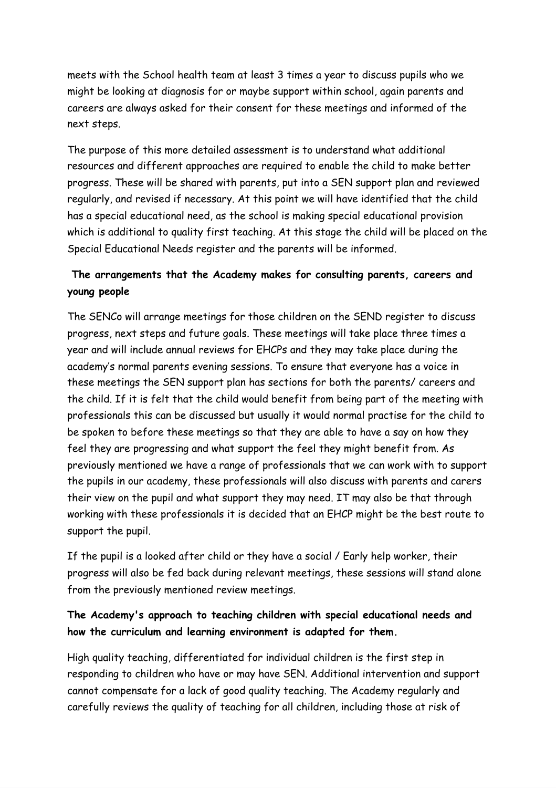meets with the School health team at least 3 times a year to discuss pupils who we might be looking at diagnosis for or maybe support within school, again parents and careers are always asked for their consent for these meetings and informed of the next steps.

The purpose of this more detailed assessment is to understand what additional resources and different approaches are required to enable the child to make better progress. These will be shared with parents, put into a SEN support plan and reviewed regularly, and revised if necessary. At this point we will have identified that the child has a special educational need, as the school is making special educational provision which is additional to quality first teaching. At this stage the child will be placed on the Special Educational Needs register and the parents will be informed.

## **The arrangements that the Academy makes for consulting parents, careers and young people**

The SENCo will arrange meetings for those children on the SEND register to discuss progress, next steps and future goals. These meetings will take place three times a year and will include annual reviews for EHCPs and they may take place during the academy's normal parents evening sessions. To ensure that everyone has a voice in these meetings the SEN support plan has sections for both the parents/ careers and the child. If it is felt that the child would benefit from being part of the meeting with professionals this can be discussed but usually it would normal practise for the child to be spoken to before these meetings so that they are able to have a say on how they feel they are progressing and what support the feel they might benefit from. As previously mentioned we have a range of professionals that we can work with to support the pupils in our academy, these professionals will also discuss with parents and carers their view on the pupil and what support they may need. IT may also be that through working with these professionals it is decided that an EHCP might be the best route to support the pupil.

If the pupil is a looked after child or they have a social / Early help worker, their progress will also be fed back during relevant meetings, these sessions will stand alone from the previously mentioned review meetings.

## **The Academy's approach to teaching children with special educational needs and how the curriculum and learning environment is adapted for them.**

High quality teaching, differentiated for individual children is the first step in responding to children who have or may have SEN. Additional intervention and support cannot compensate for a lack of good quality teaching. The Academy regularly and carefully reviews the quality of teaching for all children, including those at risk of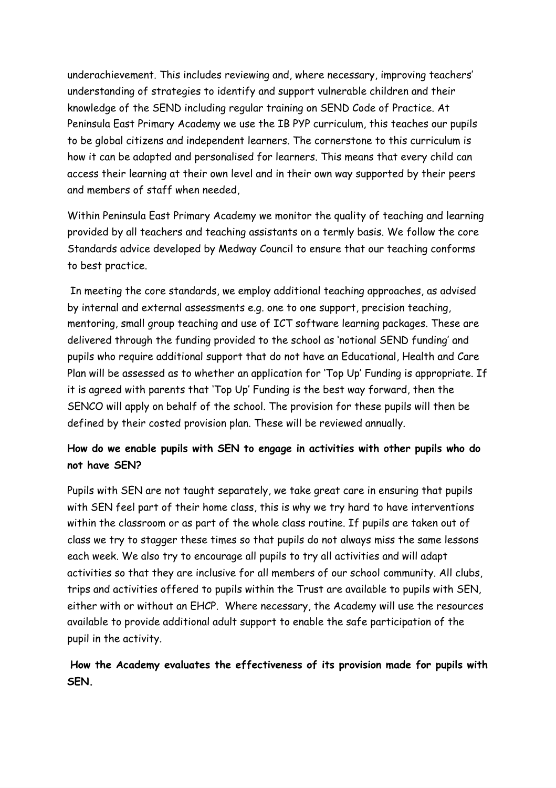underachievement. This includes reviewing and, where necessary, improving teachers' understanding of strategies to identify and support vulnerable children and their knowledge of the SEND including regular training on SEND Code of Practice. At Peninsula East Primary Academy we use the IB PYP curriculum, this teaches our pupils to be global citizens and independent learners. The cornerstone to this curriculum is how it can be adapted and personalised for learners. This means that every child can access their learning at their own level and in their own way supported by their peers and members of staff when needed,

Within Peninsula East Primary Academy we monitor the quality of teaching and learning provided by all teachers and teaching assistants on a termly basis. We follow the core Standards advice developed by Medway Council to ensure that our teaching conforms to best practice.

In meeting the core standards, we employ additional teaching approaches, as advised by internal and external assessments e.g. one to one support, precision teaching, mentoring, small group teaching and use of ICT software learning packages. These are delivered through the funding provided to the school as 'notional SEND funding' and pupils who require additional support that do not have an Educational, Health and Care Plan will be assessed as to whether an application for 'Top Up' Funding is appropriate. If it is agreed with parents that 'Top Up' Funding is the best way forward, then the SENCO will apply on behalf of the school. The provision for these pupils will then be defined by their costed provision plan. These will be reviewed annually.

## **How do we enable pupils with SEN to engage in activities with other pupils who do not have SEN?**

Pupils with SEN are not taught separately, we take great care in ensuring that pupils with SEN feel part of their home class, this is why we try hard to have interventions within the classroom or as part of the whole class routine. If pupils are taken out of class we try to stagger these times so that pupils do not always miss the same lessons each week. We also try to encourage all pupils to try all activities and will adapt activities so that they are inclusive for all members of our school community. All clubs, trips and activities offered to pupils within the Trust are available to pupils with SEN, either with or without an EHCP. Where necessary, the Academy will use the resources available to provide additional adult support to enable the safe participation of the pupil in the activity.

## **How the Academy evaluates the effectiveness of its provision made for pupils with SEN.**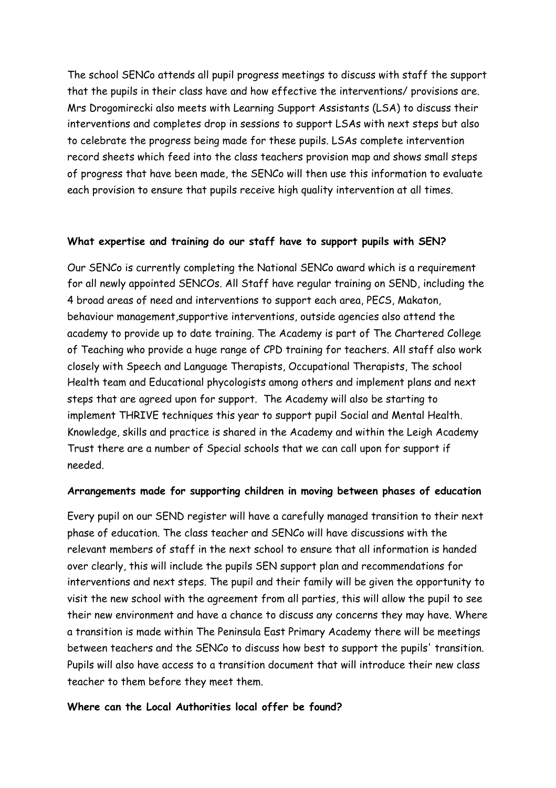The school SENCo attends all pupil progress meetings to discuss with staff the support that the pupils in their class have and how effective the interventions/ provisions are. Mrs Drogomirecki also meets with Learning Support Assistants (LSA) to discuss their interventions and completes drop in sessions to support LSAs with next steps but also to celebrate the progress being made for these pupils. LSAs complete intervention record sheets which feed into the class teachers provision map and shows small steps of progress that have been made, the SENCo will then use this information to evaluate each provision to ensure that pupils receive high quality intervention at all times.

#### **What expertise and training do our staff have to support pupils with SEN?**

Our SENCo is currently completing the National SENCo award which is a requirement for all newly appointed SENCOs. All Staff have regular training on SEND, including the 4 broad areas of need and interventions to support each area, PECS, Makaton, behaviour management,supportive interventions, outside agencies also attend the academy to provide up to date training. The Academy is part of The Chartered College of Teaching who provide a huge range of CPD training for teachers. All staff also work closely with Speech and Language Therapists, Occupational Therapists, The school Health team and Educational phycologists among others and implement plans and next steps that are agreed upon for support. The Academy will also be starting to implement THRIVE techniques this year to support pupil Social and Mental Health. Knowledge, skills and practice is shared in the Academy and within the Leigh Academy Trust there are a number of Special schools that we can call upon for support if needed.

#### **Arrangements made for supporting children in moving between phases of education**

Every pupil on our SEND register will have a carefully managed transition to their next phase of education. The class teacher and SENCo will have discussions with the relevant members of staff in the next school to ensure that all information is handed over clearly, this will include the pupils SEN support plan and recommendations for interventions and next steps. The pupil and their family will be given the opportunity to visit the new school with the agreement from all parties, this will allow the pupil to see their new environment and have a chance to discuss any concerns they may have. Where a transition is made within The Peninsula East Primary Academy there will be meetings between teachers and the SENCo to discuss how best to support the pupils' transition. Pupils will also have access to a transition document that will introduce their new class teacher to them before they meet them.

#### **Where can the Local Authorities local offer be found?**